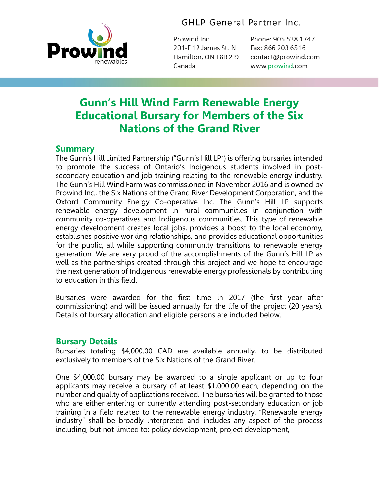

**GHLP General Partner Inc.** 

Prowind Inc. 201-F 12 James St. N Hamilton. ON L8R 2J9 Canada

Phone: 905 538 1747 Fax: 866 203 6516 contact@prowind.com www.prowind.com

# **Gunn's Hill Wind Farm Renewable Energy Educational Bursary for Members of the Six Nations of the Grand River**

## **Summary**

The Gunn's Hill Limited Partnership ("Gunn's Hill LP") is offering bursaries intended to promote the success of Ontario's Indigenous students involved in postsecondary education and job training relating to the renewable energy industry. The Gunn's Hill Wind Farm was commissioned in November 2016 and is owned by Prowind Inc., the Six Nations of the Grand River Development Corporation, and the Oxford Community Energy Co-operative Inc. The Gunn's Hill LP supports renewable energy development in rural communities in conjunction with community co-operatives and Indigenous communities. This type of renewable energy development creates local jobs, provides a boost to the local economy, establishes positive working relationships, and provides educational opportunities for the public, all while supporting community transitions to renewable energy generation. We are very proud of the accomplishments of the Gunn's Hill LP as well as the partnerships created through this project and we hope to encourage the next generation of Indigenous renewable energy professionals by contributing to education in this field.

Bursaries were awarded for the first time in 2017 (the first year after commissioning) and will be issued annually for the life of the project (20 years). Details of bursary allocation and eligible persons are included below.

## **Bursary Details**

Bursaries totaling \$4,000.00 CAD are available annually, to be distributed exclusively to members of the Six Nations of the Grand River.

One \$4,000.00 bursary may be awarded to a single applicant or up to four applicants may receive a bursary of at least \$1,000.00 each, depending on the number and quality of applications received. The bursaries will be granted to those who are either entering or currently attending post-secondary education or job training in a field related to the renewable energy industry. "Renewable energy industry" shall be broadly interpreted and includes any aspect of the process including, but not limited to: policy development, project development,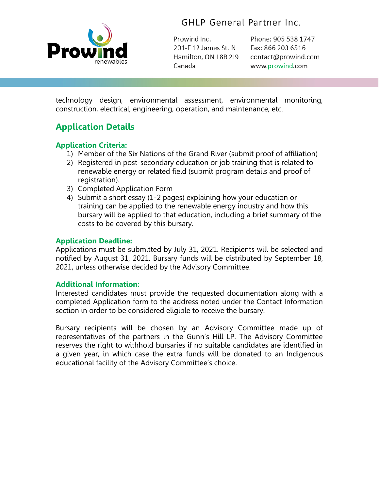

**GHLP General Partner Inc.** 

Prowind Inc. 201-F 12 James St. N Hamilton, ON L8R 2J9 Canada

Phone: 905 538 1747 Fax: 866 203 6516 contact@prowind.com www.prowind.com

technology design, environmental assessment, environmental monitoring, construction, electrical, engineering, operation, and maintenance, etc.

# **Application Details**

#### **Application Criteria:**

- 1) Member of the Six Nations of the Grand River (submit proof of affiliation)
- 2) Registered in post-secondary education or job training that is related to renewable energy or related field (submit program details and proof of registration).
- 3) Completed Application Form
- 4) Submit a short essay (1-2 pages) explaining how your education or training can be applied to the renewable energy industry and how this bursary will be applied to that education, including a brief summary of the costs to be covered by this bursary.

#### **Application Deadline:**

Applications must be submitted by July 31, 2021. Recipients will be selected and notified by August 31, 2021. Bursary funds will be distributed by September 18, 2021, unless otherwise decided by the Advisory Committee.

#### **Additional Information:**

Interested candidates must provide the requested documentation along with a completed Application form to the address noted under the Contact Information section in order to be considered eligible to receive the bursary.

Bursary recipients will be chosen by an Advisory Committee made up of representatives of the partners in the Gunn's Hill LP. The Advisory Committee reserves the right to withhold bursaries if no suitable candidates are identified in a given year, in which case the extra funds will be donated to an Indigenous educational facility of the Advisory Committee's choice.